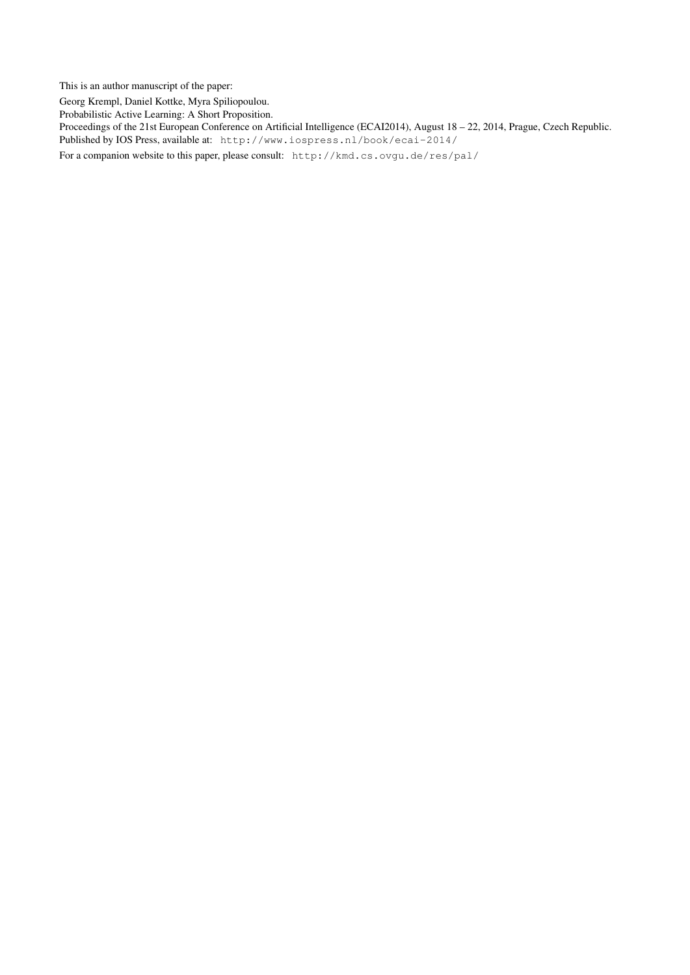This is an author manuscript of the paper:

Georg Krempl, Daniel Kottke, Myra Spiliopoulou.

Probabilistic Active Learning: A Short Proposition.

Proceedings of the 21st European Conference on Artificial Intelligence (ECAI2014), August 18 – 22, 2014, Prague, Czech Republic. Published by IOS Press, available at: http://www.iospress.nl/book/ecai-2014/

For a companion website to this paper, please consult: http://kmd.cs.ovgu.de/res/pal/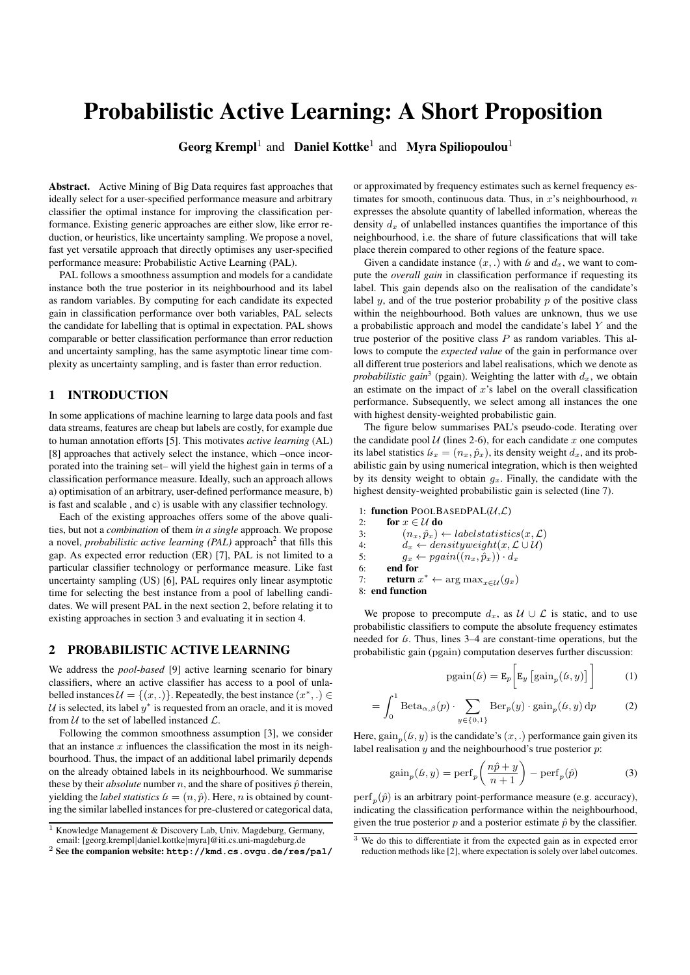# Probabilistic Active Learning: A Short Proposition

Georg Krempl<sup>1</sup> and Daniel Kottke<sup>1</sup> and Myra Spiliopoulou<sup>1</sup>

Abstract. Active Mining of Big Data requires fast approaches that ideally select for a user-specified performance measure and arbitrary classifier the optimal instance for improving the classification performance. Existing generic approaches are either slow, like error reduction, or heuristics, like uncertainty sampling. We propose a novel, fast yet versatile approach that directly optimises any user-specified performance measure: Probabilistic Active Learning (PAL).

PAL follows a smoothness assumption and models for a candidate instance both the true posterior in its neighbourhood and its label as random variables. By computing for each candidate its expected gain in classification performance over both variables, PAL selects the candidate for labelling that is optimal in expectation. PAL shows comparable or better classification performance than error reduction and uncertainty sampling, has the same asymptotic linear time complexity as uncertainty sampling, and is faster than error reduction.

## 1 INTRODUCTION

In some applications of machine learning to large data pools and fast data streams, features are cheap but labels are costly, for example due to human annotation efforts [5]. This motivates *active learning* (AL) [8] approaches that actively select the instance, which –once incorporated into the training set– will yield the highest gain in terms of a classification performance measure. Ideally, such an approach allows a) optimisation of an arbitrary, user-defined performance measure, b) is fast and scalable , and c) is usable with any classifier technology.

Each of the existing approaches offers some of the above qualities, but not a *combination* of them *in a single* approach. We propose a novel, *probabilistic active learning (PAL)* approach<sup>2</sup> that fills this gap. As expected error reduction (ER) [7], PAL is not limited to a particular classifier technology or performance measure. Like fast uncertainty sampling (US) [6], PAL requires only linear asymptotic time for selecting the best instance from a pool of labelling candidates. We will present PAL in the next section 2, before relating it to existing approaches in section 3 and evaluating it in section 4.

#### 2 PROBABILISTIC ACTIVE LEARNING

We address the *pool-based* [9] active learning scenario for binary classifiers, where an active classifier has access to a pool of unlabelled instances  $\mathcal{U} = \{(x, .)\}\.$  Repeatedly, the best instance  $(x^*, .) \in$  $\mathcal U$  is selected, its label  $y^*$  is requested from an oracle, and it is moved from  $U$  to the set of labelled instanced  $L$ .

Following the common smoothness assumption [3], we consider that an instance  $x$  influences the classification the most in its neighbourhood. Thus, the impact of an additional label primarily depends on the already obtained labels in its neighbourhood. We summarise these by their *absolute* number n, and the share of positives  $\hat{p}$  therein, yielding the *label statistics*  $\mathbf{k} = (n, \hat{p})$ . Here, *n* is obtained by counting the similar labelled instances for pre-clustered or categorical data, or approximated by frequency estimates such as kernel frequency estimates for smooth, continuous data. Thus, in  $x$ 's neighbourhood,  $n$ expresses the absolute quantity of labelled information, whereas the density  $d_x$  of unlabelled instances quantifies the importance of this neighbourhood, i.e. the share of future classifications that will take place therein compared to other regions of the feature space.

Given a candidate instance  $(x,.)$  with *ls* and  $d_x$ , we want to compute the *overall gain* in classification performance if requesting its label. This gain depends also on the realisation of the candidate's label  $y$ , and of the true posterior probability  $p$  of the positive class within the neighbourhood. Both values are unknown, thus we use a probabilistic approach and model the candidate's label Y and the true posterior of the positive class  $P$  as random variables. This allows to compute the *expected value* of the gain in performance over all different true posteriors and label realisations, which we denote as *probabilistic gain*<sup>3</sup> (pgain). Weighting the latter with  $d_x$ , we obtain an estimate on the impact of  $x$ 's label on the overall classification performance. Subsequently, we select among all instances the one with highest density-weighted probabilistic gain.

The figure below summarises PAL's pseudo-code. Iterating over the candidate pool  $U$  (lines 2-6), for each candidate  $x$  one computes its label statistics  $\mathbf{k}_x = (n_x, \hat{p}_x)$ , its density weight  $d_x$ , and its probabilistic gain by using numerical integration, which is then weighted by its density weight to obtain  $g_x$ . Finally, the candidate with the highest density-weighted probabilistic gain is selected (line 7).

1: function POOLBASEDPAL( $U, L$ )

2: for  $x \in \mathcal{U}$  do 3:  $(n_x, \hat{p}_x) \leftarrow label statistics(x, \mathcal{L})$ 4:  $d_x \leftarrow densityweight(x, \mathcal{L} \cup \mathcal{U})$ 5:  $g_x \leftarrow pgain((n_x, \hat{p}_x)) \cdot d_x$ 6: end for 7: **return**  $x^* \leftarrow \arg \max_{x \in \mathcal{U}} (g_x)$ 

8: end function

We propose to precompute  $d_x$ , as  $\mathcal{U} \cup \mathcal{L}$  is static, and to use probabilistic classifiers to compute the absolute frequency estimates needed for *ls*. Thus, lines 3–4 are constant-time operations, but the probabilistic gain (pgain) computation deserves further discussion:

$$
pgain(\mathbf{b}) = \mathbf{E}_p \bigg[ \mathbf{E}_y \left[ gain_p(\mathbf{b}, y) \right] \bigg] \tag{1}
$$

$$
= \int_0^1 \text{Beta}_{\alpha,\beta}(p) \cdot \sum_{y \in \{0,1\}} \text{Ber}_p(y) \cdot \text{gain}_p(\mathbf{k}, y) \, \mathrm{d}p \tag{2}
$$

Here,  $\text{gain}_p(\mathfrak{b}, \mathfrak{y})$  is the candidate's  $(x, .)$  performance gain given its label realisation  $y$  and the neighbourhood's true posterior  $p$ :

$$
gain_p(\mathbf{k}, y) = \text{perf}_p\left(\frac{n\hat{p} + y}{n+1}\right) - \text{perf}_p(\hat{p})\tag{3}
$$

 $\text{perf}_p(\hat{p})$  is an arbitrary point-performance measure (e.g. accuracy), indicating the classification performance within the neighbourhood, given the true posterior  $p$  and a posterior estimate  $\hat{p}$  by the classifier.

<sup>&</sup>lt;sup>1</sup> Knowledge Management & Discovery Lab, Univ. Magdeburg, Germany, email: [georg.krempl|daniel.kottke|myra]@iti.cs.uni-magdeburg.de

<sup>2</sup> See the companion website: **http://kmd.cs.ovgu.de/res/pal/**

 $3$  We do this to differentiate it from the expected gain as in expected error reduction methods like [2], where expectation is solely over label outcomes.